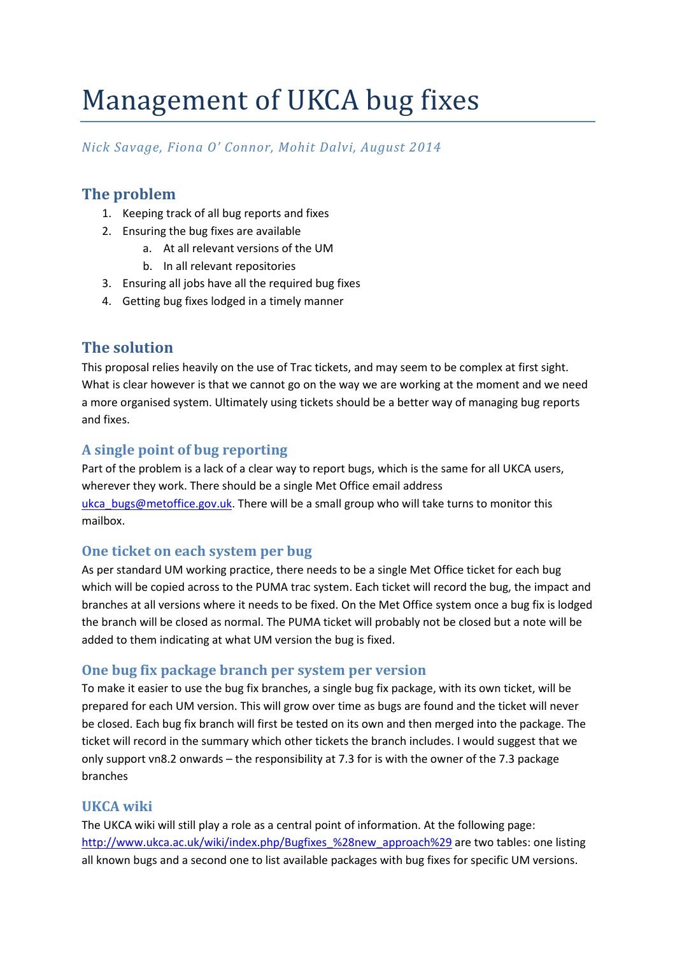# Management of UKCA bug fixes

# *Nick Savage, Fiona O' Connor, Mohit Dalvi, August 2014*

# **The problem**

- 1. Keeping track of all bug reports and fixes
- 2. Ensuring the bug fixes are available
	- a. At all relevant versions of the UM
	- b. In all relevant repositories
- 3. Ensuring all jobs have all the required bug fixes
- 4. Getting bug fixes lodged in a timely manner

## **The solution**

This proposal relies heavily on the use of Trac tickets, and may seem to be complex at first sight. What is clear however is that we cannot go on the way we are working at the moment and we need a more organised system. Ultimately using tickets should be a better way of managing bug reports and fixes.

## **A single point of bug reporting**

Part of the problem is a lack of a clear way to report bugs, which is the same for all UKCA users, wherever they work. There should be a single Met Office email address ukca\_bugs@metoffice.gov.uk. There will be a small group who will take turns to monitor this mailbox.

#### **One ticket on each system per bug**

As per standard UM working practice, there needs to be a single Met Office ticket for each bug which will be copied across to the PUMA trac system. Each ticket will record the bug, the impact and branches at all versions where it needs to be fixed. On the Met Office system once a bug fix is lodged the branch will be closed as normal. The PUMA ticket will probably not be closed but a note will be added to them indicating at what UM version the bug is fixed.

#### **One bug fix package branch per system per version**

To make it easier to use the bug fix branches, a single bug fix package, with its own ticket, will be prepared for each UM version. This will grow over time as bugs are found and the ticket will never be closed. Each bug fix branch will first be tested on its own and then merged into the package. The ticket will record in the summary which other tickets the branch includes. I would suggest that we only support vn8.2 onwards – the responsibility at 7.3 for is with the owner of the 7.3 package branches

#### **UKCA wiki**

The UKCA wiki will still play a role as a central point of information. At the following page: http://www.ukca.ac.uk/wiki/index.php/Bugfixes\_%28new\_approach%29 are two tables: one listing all known bugs and a second one to list available packages with bug fixes for specific UM versions.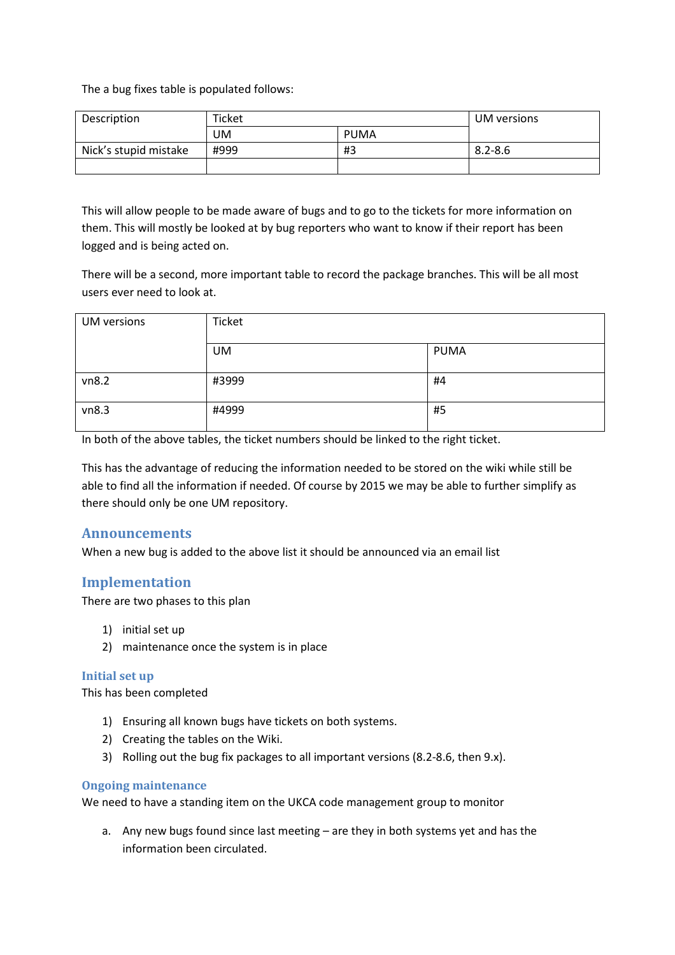The a bug fixes table is populated follows:

| Description           | <b>Ticket</b> |      | UM versions |
|-----------------------|---------------|------|-------------|
|                       | UM            | PUMA |             |
| Nick's stupid mistake | #999          | #3   | $8.2 - 8.6$ |
|                       |               |      |             |

This will allow people to be made aware of bugs and to go to the tickets for more information on them. This will mostly be looked at by bug reporters who want to know if their report has been logged and is being acted on.

There will be a second, more important table to record the package branches. This will be all most users ever need to look at.

| <b>UM</b> versions | Ticket    |      |  |
|--------------------|-----------|------|--|
|                    | <b>UM</b> | PUMA |  |
| vn8.2              | #3999     | #4   |  |
| vn8.3              | #4999     | #5   |  |

In both of the above tables, the ticket numbers should be linked to the right ticket.

This has the advantage of reducing the information needed to be stored on the wiki while still be able to find all the information if needed. Of course by 2015 we may be able to further simplify as there should only be one UM repository.

#### **Announcements**

When a new bug is added to the above list it should be announced via an email list

#### **Implementation**

There are two phases to this plan

- 1) initial set up
- 2) maintenance once the system is in place

#### **Initial set up**

This has been completed

- 1) Ensuring all known bugs have tickets on both systems.
- 2) Creating the tables on the Wiki.
- 3) Rolling out the bug fix packages to all important versions (8.2-8.6, then 9.x).

#### **Ongoing maintenance**

We need to have a standing item on the UKCA code management group to monitor

a. Any new bugs found since last meeting – are they in both systems yet and has the information been circulated.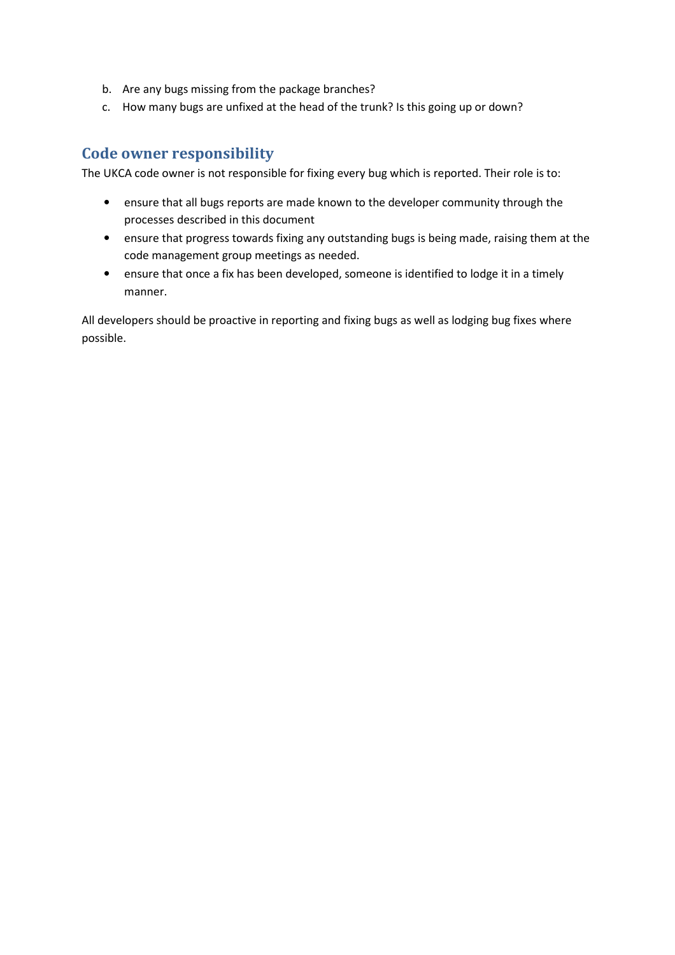- b. Are any bugs missing from the package branches?
- c. How many bugs are unfixed at the head of the trunk? Is this going up or down?

### **Code owner responsibility**

The UKCA code owner is not responsible for fixing every bug which is reported. Their role is to:

- ensure that all bugs reports are made known to the developer community through the processes described in this document
- ensure that progress towards fixing any outstanding bugs is being made, raising them at the code management group meetings as needed.
- ensure that once a fix has been developed, someone is identified to lodge it in a timely manner.

All developers should be proactive in reporting and fixing bugs as well as lodging bug fixes where possible.